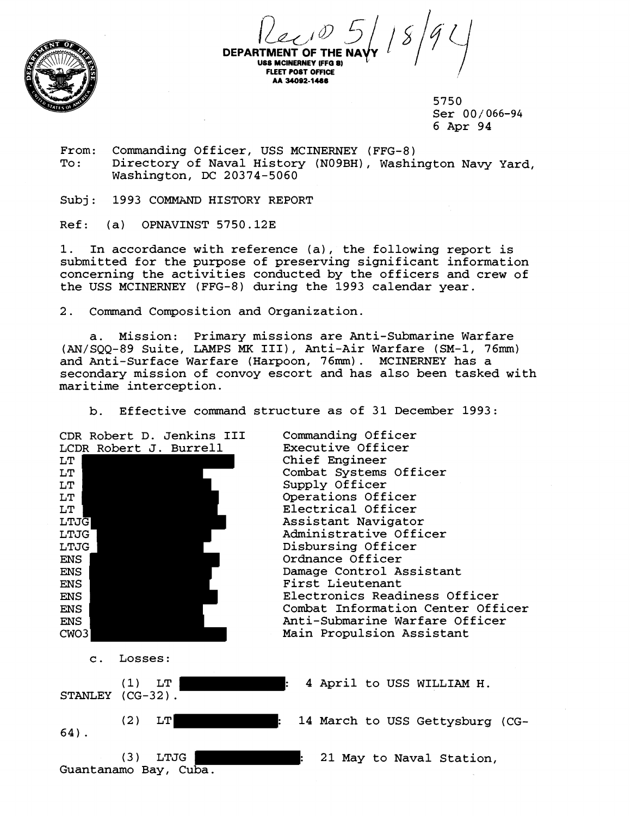

DEPARTMENT OF THE NAYY  $18/9$ **USS MCINERNEY (FFG 8) FLEET POST OFFICE AA 34092-1 406**   $\int$ 

5750 Ser 00 / *066-94*  6 Apr 94

From: Commanding Officer, USS MCINERNEY (FFG-8)<br>To: Directory of Naval History (N09BH), Washi Directory of Naval History (NO9BH), Washington Navy Yard, Washington, DC 20374-5060

Subj: 1993 COMMAND HISTORY REPORT

Ref: (a) OPNAVINST 5750.12E

1. In accordance with reference (a), the following report is submitted for the purpose of preserving significant information concerning the activities conducted by the officers and crew of the USS MCINERNEY (FFG-8) during the 1993 calendar year.

2. Command Composition and Organization.

a. Mission: Primary missions are Anti-Submarine Warfare (AN/SQQ-89 Suite, LAMPS **MK** III), Anti-Air Warfare (SM-1, 76rnm) and Anti-Surface Warfare (Harpoon, **76mm).** MCINERNEY has a secondary mission of convoy escort and has also been tasked with maritime interception.

b. Effective command structure as of 31 December 1993:

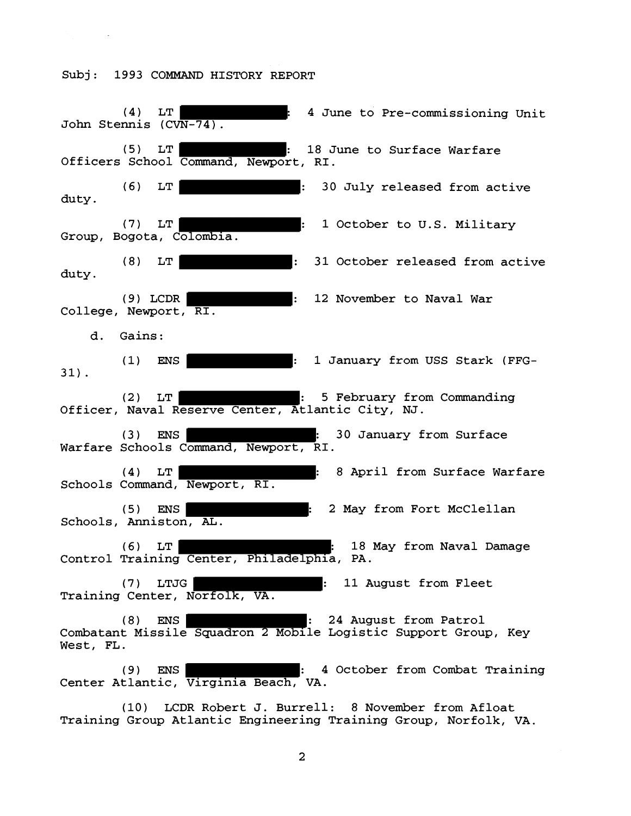**(4)** LT : **4** June to Pre-commissioning Unit John Stemis **(CVN-74) (5)** LT : **18** June to Surface Warfare Officers School Command, Newport, RI. (6) LT : **30** July released from active duty. **(7)** LT : **1** October to U.S. Military Group, Bogota, Colombia. **(8)** LT : **31** October released from active duty. **(9)** LCDR : **12** November to Naval War College, Newport, RI d. Gains: **(1) ENS** : **1** January from **USS** Stark (FFG-**31). (2)** LT : **5** February from Commanding Officer, Naval Reserve Center, Atlantic City, NJ. (3) ENS : **30** January from Surface Warfare Schools Command, Newport, RI . **(4)** LT : **8** April from Surface Warfare Schools Command, Newport, RI **(5)** ENS : 2 May from Fort McClellan Schools, Anniston, **AL.**  (6) LT : **18** May from Naval Damage Control Training Center, Philadelphia, PA. **(7)** LTJG : **11** August from Fleet Training Center, Norfolk, VA. **(8)** ENS : **24** August from Patrol Combatant Missile Squadron 2 Mobile Logistic Support Group, Key West, FL. **(9)** ENS : **4** October from Combat Training Center Atlantic, Virginia Beach, VA.

**(10)** LCDR Robert **J.** Burrell: **8** November from Afloat Training Group Atlantic Engineering Training Group, Norfolk, VA.

 $\overline{2}$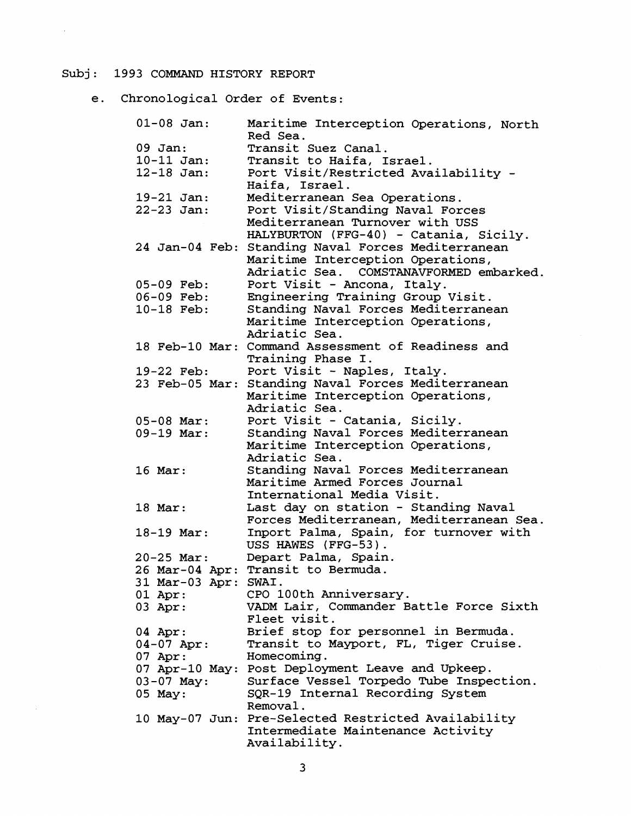$\bar{\mathcal{A}}$ 

e. Chronological Order of Events:

| $01 - 08$ Jan:       | Maritime Interception Operations, North<br>Red Sea.                                      |
|----------------------|------------------------------------------------------------------------------------------|
| $09$ Jan:            | Transit Suez Canal.                                                                      |
| $10 - 11$ Jan:       | Transit to Haifa, Israel.                                                                |
| $12 - 18$ Jan:       | Port Visit/Restricted Availability -                                                     |
|                      | Haifa, Israel.                                                                           |
| $19 - 21$ Jan:       | Mediterranean Sea Operations.                                                            |
| $22 - 23$ Jan:       | Port Visit/Standing Naval Forces                                                         |
|                      | Mediterranean Turnover with USS                                                          |
|                      | HALYBURTON (FFG-40) - Catania, Sicily.                                                   |
|                      | 24 Jan-04 Feb: Standing Naval Forces Mediterranean                                       |
|                      | Maritime Interception Operations,                                                        |
|                      | Adriatic Sea. COMSTANAVFORMED embarked.                                                  |
| $05-09$ Feb:         | Port Visit - Ancona, Italy.                                                              |
| $06-09$ Feb:         | Engineering Training Group Visit.                                                        |
| 10-18 Feb:           | Standing Naval Forces Mediterranean                                                      |
|                      | Maritime Interception Operations,                                                        |
|                      | Adriatic Sea.                                                                            |
|                      | 18 Feb-10 Mar: Command Assessment of Readiness and                                       |
|                      | Training Phase I.                                                                        |
| 19-22 Feb:           | Port Visit - Naples, Italy.                                                              |
| 23 Feb-05 Mar:       | Standing Naval Forces Mediterranean                                                      |
|                      | Maritime Interception Operations,                                                        |
|                      | Adriatic Sea.                                                                            |
| $05 - 08$ Mar:       | Port Visit - Catania, Sicily.                                                            |
| $09-19$ Mar:         | Standing Naval Forces Mediterranean                                                      |
|                      | Maritime Interception Operations,                                                        |
|                      | Adriatic Sea.                                                                            |
| $16$ Mar:            | Standing Naval Forces Mediterranean                                                      |
|                      | Maritime Armed Forces Journal                                                            |
|                      | International Media Visit.                                                               |
| $18$ Mar:            | Last day on station - Standing Naval                                                     |
|                      | Forces Mediterranean, Mediterranean Sea.                                                 |
| $18-19$ Mar:         | Inport Palma, Spain, for turnover with                                                   |
|                      | USS HAWES (FFG-53).                                                                      |
| $20 - 25$ Mar:       | Depart Palma, Spain.                                                                     |
|                      | 26 Mar-04 Apr: Transit to Bermuda.                                                       |
| 31 Mar-03 Apr: SWAI. |                                                                                          |
| $01$ Apr:            | CPO 100th Anniversary.                                                                   |
| 03 Apr:              | VADM Lair, Commander Battle Force Sixth                                                  |
|                      | Fleet visit.                                                                             |
| $04$ Apr:            | Brief stop for personnel in Bermuda.                                                     |
| $04 - 07$ Apr:       | Transit to Mayport, FL, Tiger Cruise.                                                    |
| $07$ Apr:            | Homecoming.                                                                              |
|                      | 07 Apr-10 May: Post Deployment Leave and Upkeep.                                         |
| $03 - 07$ May:       | Surface Vessel Torpedo Tube Inspection.                                                  |
|                      | SQR-19 Internal Recording System                                                         |
| 05 May:              | Removal.                                                                                 |
|                      |                                                                                          |
|                      | 10 May-07 Jun: Pre-Selected Restricted Availability<br>Intermediate Maintenance Activity |
|                      | Availability.                                                                            |
|                      |                                                                                          |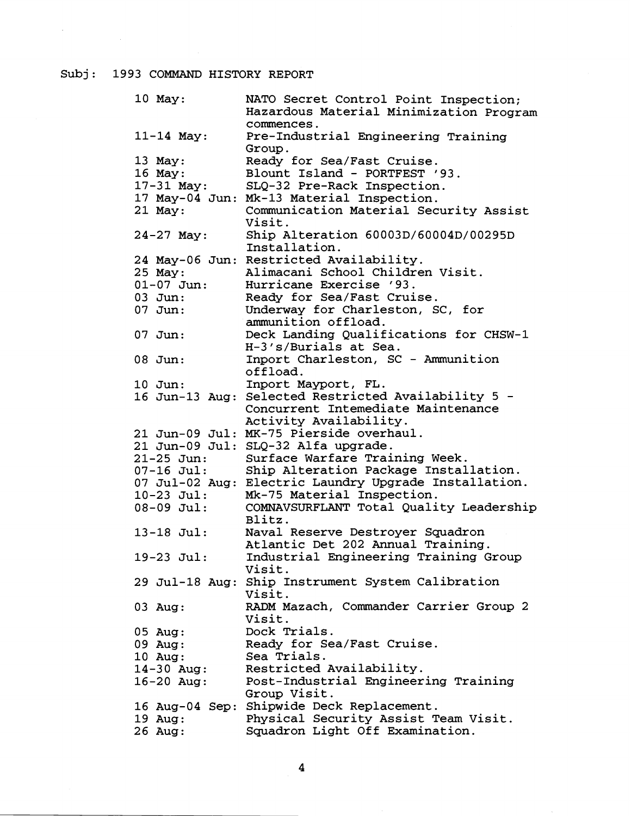$\sim$ 

| $10$ May:      | NATO Secret Control Point Inspection;                 |
|----------------|-------------------------------------------------------|
|                | Hazardous Material Minimization Program               |
|                | commences.                                            |
| $11 - 14$ May: | Pre-Industrial Engineering Training                   |
|                | Group.                                                |
| $13$ May:      | Ready for Sea/Fast Cruise.                            |
| 16 May:        | Blount Island - PORTFEST '93.                         |
| $17 - 31$ May: | SLQ-32 Pre-Rack Inspection.                           |
|                | 17 May-04 Jun: Mk-13 Material Inspection.             |
| 21 May:        | Communication Material Security Assist                |
|                | Visit.                                                |
| $24 - 27$ May: | Ship Alteration 60003D/60004D/00295D                  |
|                | Installation.                                         |
|                | 24 May-06 Jun: Restricted Availability.               |
| 25 May:        | Alimacani School Children Visit.                      |
| $01 - 07$ Jun: | Hurricane Exercise '93.                               |
| $03$ Jun:      | Ready for Sea/Fast Cruise.                            |
| 07 Jun:        | Underway for Charleston, SC, for                      |
|                | ammunition offload.                                   |
| $07$ Jun:      | Deck Landing Qualifications for CHSW-1                |
|                | H-3's/Burials at Sea.                                 |
|                |                                                       |
| 08 Jun:        | Inport Charleston, SC - Ammunition<br>offload.        |
|                |                                                       |
| $10$ Jun:      | Inport Mayport, FL.                                   |
|                | 16 Jun-13 Aug: Selected Restricted Availability 5 -   |
|                | Concurrent Intemediate Maintenance                    |
|                | Activity Availability.                                |
|                | 21 Jun-09 Jul: MK-75 Pierside overhaul.               |
|                | 21 Jun-09 Jul: SLQ-32 Alfa upgrade.                   |
| $21 - 25$ Jun: | Surface Warfare Training Week.                        |
| $07-16$ Jul:   | Ship Alteration Package Installation.                 |
|                | 07 Jul-02 Aug: Electric Laundry Upgrade Installation. |
| $10-23$ Jul:   | Mk-75 Material Inspection.                            |
| $08-09$ Jul:   | COMNAVSURFLANT Total Quality Leadership               |
|                | Blitz.                                                |
| $13 - 18$ Jul: | Naval Reserve Destroyer Squadron                      |
|                | Atlantic Det 202 Annual Training.                     |
| 19-23 Jul:     | Industrial Engineering Training Group                 |
|                | Visit.                                                |
|                | 29 Jul-18 Aug: Ship Instrument System Calibration     |
|                | Visit.                                                |
| 03 Aug:        | RADM Mazach, Commander Carrier Group 2                |
|                | Visit.                                                |
| $05$ Aug:      | Dock Trials.                                          |
|                | Ready for Sea/Fast Cruise.                            |
| $09$ Aug:      |                                                       |
| 10 Aug:        | Sea Trials.                                           |
| $14 - 30$ Aug: | Restricted Availability.                              |
| $16 - 20$ Aug: | Post-Industrial Engineering Training                  |
|                | Group Visit.                                          |
|                | 16 Aug-04 Sep: Shipwide Deck Replacement.             |
| 19 Aug:        | Physical Security Assist Team Visit.                  |
| 26 Aug:        | Squadron Light Off Examination.                       |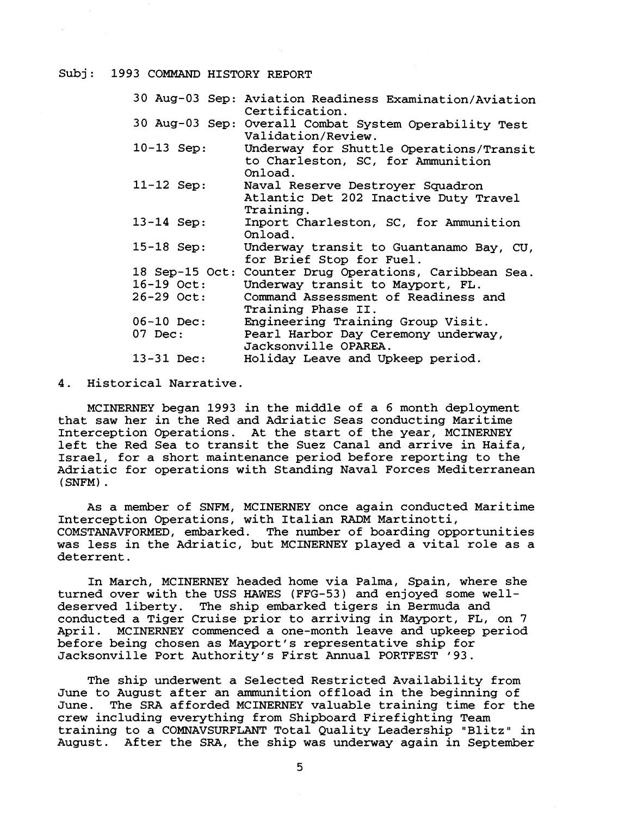|                | 30 Aug-03 Sep: Aviation Readiness Examination/Aviation<br>Certification.                |
|----------------|-----------------------------------------------------------------------------------------|
|                | 30 Aug-03 Sep: Overall Combat System Operability Test<br>Validation/Review.             |
| $10-13$ Sep:   | Underway for Shuttle Operations/Transit<br>to Charleston, SC, for Ammunition<br>Onload. |
| $11 - 12$ Sep: | Naval Reserve Destroyer Squadron<br>Atlantic Det 202 Inactive Duty Travel<br>Training.  |
| $13 - 14$ Sep: | Inport Charleston, SC, for Ammunition<br>Onload.                                        |
| $15 - 18$ Sep: | Underway transit to Guantanamo Bay, CU,<br>for Brief Stop for Fuel.                     |
| 18 Sep-15 Oct: | Counter Drug Operations, Caribbean Sea.                                                 |
| $16-19$ Oct:   | Underway transit to Mayport, FL.                                                        |
| 26-29 Oct:     | Command Assessment of Readiness and<br>Training Phase II.                               |
| $06-10$ Dec:   | Engineering Training Group Visit.                                                       |
| 07 Dec:        | Pearl Harbor Day Ceremony underway,<br>Jacksonville OPAREA.                             |
| $13 - 31$ Dec: | Holiday Leave and Upkeep period.                                                        |

4. Historical Narrative.

MCINERNEY began 1993 in the middle of a 6 month deployment that saw her in the Red and Adriatic Seas conducting Maritime Interception Operations. At the start of the year, MCINERNEY left the Red Sea to transit the Suez Canal and arrive in Haifa, Israel, for a short maintenance period before reporting to the Adriatic for operations with Standing Naval Forces Mediterranean (SNFM) .

As a member of SNFM, MCINERNEY once again conducted Maritime Interception Operations, with Italian RADM Martinotti, COMSTANAVFORMED, embarked. The number of boarding opportunities was less in the Adriatic, but MCINERNEY played a vital role as a deterrent.

In March, MCINERNEY headed home via Palma, Spain, where she turned over with the USS HAWES (FFG-53) and enjoyed some welldeserved liberty. The ship embarked tigers in Bermuda and conducted a Tiger Cruise prior to arriving in Mayport, FL, on 7 April. MCINERNEY commenced a one-month leave and upkeep period before being chosen as Mayport's representative ship for Jacksonville Port Authority's First Annual PORTFEST '93.

The ship underwent a Selected Restricted Availability from June to August after an ammunition offload in the beginning of June. The SRA afforded MCINERNEY valuable training time for the crew including everything from Shipboard Firefighting Team training to a COMNAVSURFLANT Total Quality Leadership "Blitz" in August. After the SRA, the ship was underway again in September